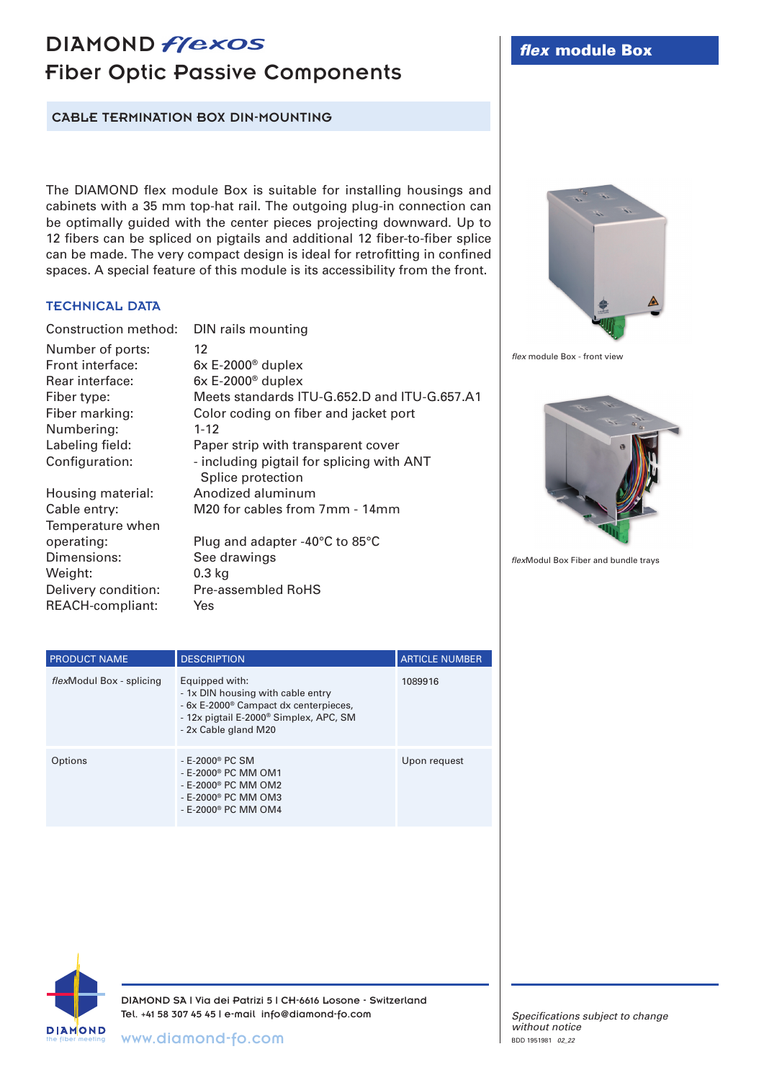## DIAMOND *flexos* Fiber Optic Passive Components

CABLE TERMINATION BOX DIN-MOUNTING

The DIAMOND flex module Box is suitable for installing housings and cabinets with a 35 mm top-hat rail. The outgoing plug-in connection can be optimally guided with the center pieces projecting downward. Up to 12 fibers can be spliced on pigtails and additional 12 fiber-to-fiber splice can be made. The very compact design is ideal for retrofitting in confined spaces. A special feature of this module is its accessibility from the front.

## TECHNICAL DATA

Construction method: DIN rails mounting

Number of ports: 12 Front interface: 6x E-2000® duplex Rear interface: 6x E-2000® duplex Numbering: 1-12 Temperature when

Fiber type: Meets standards ITU-G.652.D and ITU-G.657.A1 Fiber marking: Color coding on fiber and jacket port Labeling field: Paper strip with transparent cover Configuration: - including pigtail for splicing with ANT Splice protection Housing material: Anodized aluminum Cable entry: M20 for cables from 7mm - 14mm operating: Plug and adapter -40°C to 85°C

Dimensions: See drawings Weight: 0.3 kg Delivery condition: Pre-assembled RoHS REACH-compliant: Yes

| $\frac{a}{a}$     |             |
|-------------------|-------------|
|                   |             |
| ۰<br>CANDAD       | $\triangle$ |
| <b>Lally</b><br>٠ |             |

*flex* module Box - front view



*flex*Modul Box Fiber and bundle trays

| <b>PRODUCT NAME</b>      | <b>DESCRIPTION</b>                                                                                                                                                                     | <b>ARTICLE NUMBER</b> |
|--------------------------|----------------------------------------------------------------------------------------------------------------------------------------------------------------------------------------|-----------------------|
| flexModul Box - splicing | Equipped with:<br>- 1x DIN housing with cable entry<br>- 6x E-2000 <sup>®</sup> Campact dx centerpieces,<br>- 12x pigtail E-2000 <sup>®</sup> Simplex, APC, SM<br>- 2x Cable gland M20 | 1089916               |
| Options                  | $-E-2000$ <sup>®</sup> PC SM<br>- E-2000 <sup>®</sup> PC MM OM1<br>- E-2000 <sup>®</sup> PC MM OM2<br>- E-2000 <sup>®</sup> PC MM OM3<br>- E-2000 <sup>®</sup> PC MM OM4               | Upon request          |



DIAMOND SA | Via dei Patrizi 5 | CH-6616 Losone - Switzerland Tel. +41 58 307 45 45 | e-mail info@diamond-fo.com

the fiber meeting www.diamond-fo.com